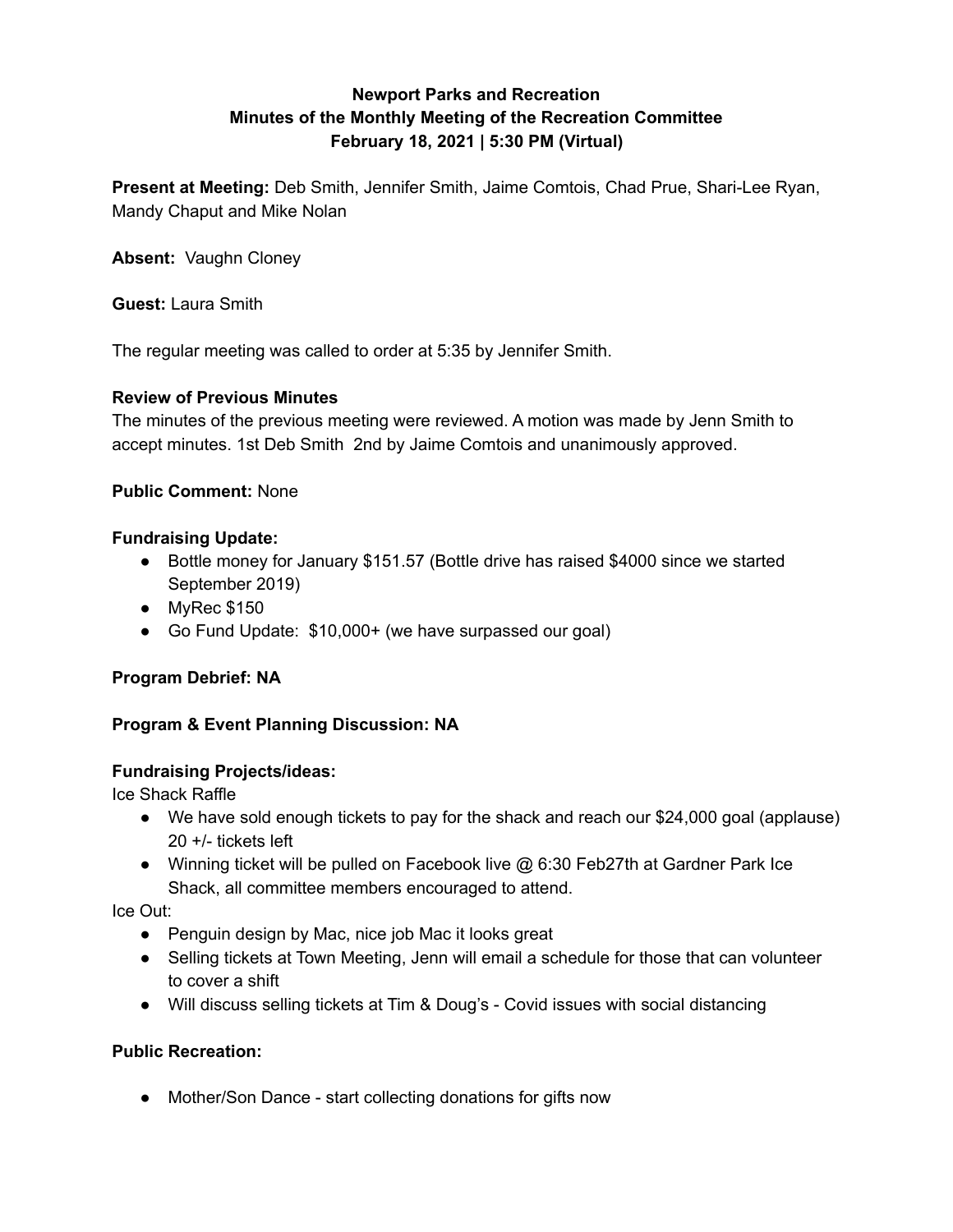# **Newport Parks and Recreation Minutes of the Monthly Meeting of the Recreation Committee February 18, 2021 | 5:30 PM (Virtual)**

**Present at Meeting:** Deb Smith, Jennifer Smith, Jaime Comtois, Chad Prue, Shari-Lee Ryan, Mandy Chaput and Mike Nolan

**Absent:** Vaughn Cloney

**Guest:** Laura Smith

The regular meeting was called to order at 5:35 by Jennifer Smith.

### **Review of Previous Minutes**

The minutes of the previous meeting were reviewed. A motion was made by Jenn Smith to accept minutes. 1st Deb Smith 2nd by Jaime Comtois and unanimously approved.

### **Public Comment:** None

### **Fundraising Update:**

- Bottle money for January \$151.57 (Bottle drive has raised \$4000 since we started September 2019)
- MyRec \$150
- Go Fund Update: \$10,000+ (we have surpassed our goal)

#### **Program Debrief: NA**

## **Program & Event Planning Discussion: NA**

#### **Fundraising Projects/ideas:**

Ice Shack Raffle

- We have sold enough tickets to pay for the shack and reach our \$24,000 goal (applause) 20 +/- tickets left
- Winning ticket will be pulled on Facebook live @ 6:30 Feb27th at Gardner Park Ice Shack, all committee members encouraged to attend.

Ice Out:

- Penguin design by Mac, nice job Mac it looks great
- Selling tickets at Town Meeting, Jenn will email a schedule for those that can volunteer to cover a shift
- Will discuss selling tickets at Tim & Doug's Covid issues with social distancing

## **Public Recreation:**

• Mother/Son Dance - start collecting donations for gifts now